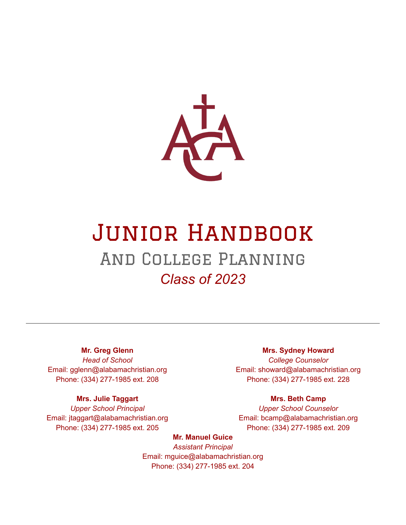

# Junior Handbook And College Planning *Class of 2023*

#### **Mr. Greg Glenn**

*Head of School* Email: gglenn@alabamachristian.org Phone: (334) 277-1985 ext. 208

#### **Mrs. Julie Taggart**

*Upper School Principal* Email: jtaggart@alabamachristian.org Phone: (334) 277-1985 ext. 205

#### **Mrs. Sydney Howard**

*College Counselor* Email: showard@alabamachristian.org Phone: (334) 277-1985 ext. 228

#### **Mrs. Beth Camp**

*Upper School Counselor* Email: bcamp@alabamachristian.org Phone: (334) 277-1985 ext. 209

#### **Mr. Manuel Guice**

*Assistant Principal* Email: mguice@alabamachristian.org Phone: (334) 277-1985 ext. 204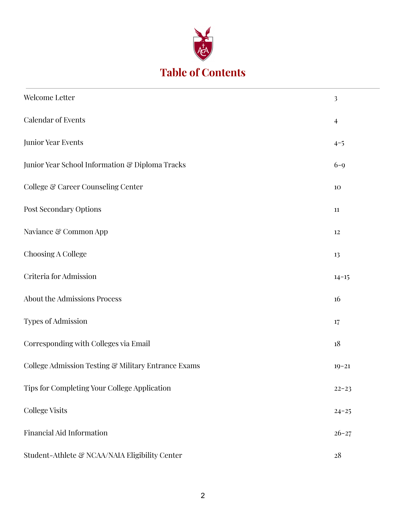

# **Table of Contents**

| Welcome Letter                                      | $\overline{\mathbf{3}}$ |
|-----------------------------------------------------|-------------------------|
| <b>Calendar of Events</b>                           | $\overline{4}$          |
| Junior Year Events                                  | $4 - 5$                 |
| Junior Year School Information & Diploma Tracks     | $6 - 9$                 |
| College & Career Counseling Center                  | 10                      |
| Post Secondary Options                              | $11\,$                  |
| Naviance & Common App                               | $12\,$                  |
| Choosing A College                                  | 13                      |
| Criteria for Admission                              | $14 - 15$               |
| About the Admissions Process                        | 16                      |
| Types of Admission                                  | 17                      |
| Corresponding with Colleges via Email               | 18                      |
| College Admission Testing & Military Entrance Exams | $19 - 21$               |
| Tips for Completing Your College Application        | $22 - 23$               |
| College Visits                                      | $24 - 25$               |
| <b>Financial Aid Information</b>                    | $26 - 27$               |
| Student-Athlete & NCAA/NAIA Eligibility Center      | $28\,$                  |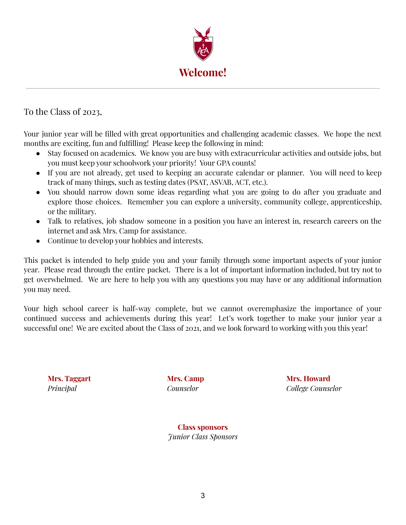

To the Class of 2023,

Your junior year will be filled with great opportunities and challenging academic classes. We hope the next months are exciting, fun and fulfilling! Please keep the following in mind:

- Stay focused on academics. We know you are busy with extracurricular activities and outside jobs, but you must keep your schoolwork your priority! Your GPA counts!
- If you are not already, get used to keeping an accurate calendar or planner. You will need to keep track of many things, such as testing dates (PSAT, ASVAB, ACT, etc.).
- You should narrow down some ideas regarding what you are going to do after you graduate and explore those choices. Remember you can explore a university, community college, apprenticeship, or the military.
- Talk to relatives, job shadow someone in a position you have an interest in, research careers on the internet and ask Mrs. Camp for assistance.
- Continue to develop your hobbies and interests.

This packet is intended to help guide you and your family through some important aspects of your junior year. Please read through the entire packet. There is a lot of important information included, but try not to get overwhelmed. We are here to help you with any questions you may have or any additional information you may need.

Your high school career is half-way complete, but we cannot overemphasize the importance of your continued success and achievements during this year! Let's work together to make your junior year a successful one! We are excited about the Class of 2021, and we look forward to working with you this year!

**Mrs. Taggart Mrs. Camp Mrs. Howard** *Principal Counselor College Counselor*

> **Class sponsors** *Junior Class Sponsors*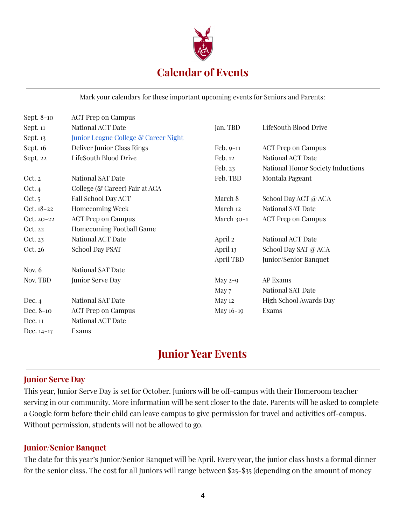

Mark your calendars for these important upcoming events for Seniors and Parents:

| Sept. 8-10 | <b>ACT</b> Prep on Campus                       |            |                                   |
|------------|-------------------------------------------------|------------|-----------------------------------|
| Sept. 11   | National ACT Date                               | Jan. TBD   | LifeSouth Blood Drive             |
| Sept. 13   | <b>Junior League College &amp; Career Night</b> |            |                                   |
| Sept. 16   | <b>Deliver Junior Class Rings</b>               | Feb. 9-11  | <b>ACT Prep on Campus</b>         |
| Sept. 22   | LifeSouth Blood Drive                           | Feb. 12    | <b>National ACT Date</b>          |
|            |                                                 | Feb. 23    | National Honor Society Inductions |
| Oct. 2     | <b>National SAT Date</b>                        | Feb. TBD   | Montala Pageant                   |
| Oct. 4     | College (& Career) Fair at ACA                  |            |                                   |
| Oct. 5     | <b>Fall School Day ACT</b>                      | March 8    | School Day ACT @ ACA              |
| Oct. 18-22 | <b>Homecoming Week</b>                          | March 12   | National SAT Date                 |
| Oct. 20-22 | <b>ACT Prep on Campus</b>                       | March 30-1 | <b>ACT Prep on Campus</b>         |
| Oct. 22    | Homecoming Football Game                        |            |                                   |
| Oct. 23    | National ACT Date                               | April 2    | National ACT Date                 |
| Oct. 26    | <b>School Day PSAT</b>                          | April 13   | School Day SAT @ ACA              |
|            |                                                 | April TBD  | Junior/Senior Banquet             |
| Nov. $6$   | National SAT Date                               |            |                                   |
| Nov. TBD   | Junior Serve Day                                | May $2-9$  | AP Exams                          |
|            |                                                 | May 7      | National SAT Date                 |
| Dec. $4$   | National SAT Date                               | May 12     | High School Awards Day            |
| Dec. 8-10  | <b>ACT Prep on Campus</b>                       | May 16-19  | Exams                             |
| Dec. 11    | National ACT Date                               |            |                                   |
| Dec. 14-17 | Exams                                           |            |                                   |

### **Junior Year Events**

#### **Junior Serve Day**

This year, Junior Serve Day is set for October. Juniors will be off-campus with their Homeroom teacher serving in our community. More information will be sent closer to the date. Parents will be asked to complete a Google form before their child can leave campus to give permission for travel and activities off-campus. Without permission, students will not be allowed to go.

#### **Junior/Senior Banquet**

The date for this year's Junior/Senior Banquet will be April. Every year, the junior class hosts a formal dinner for the senior class. The cost for all Juniors will range between \$25-\$35 (depending on the amount of money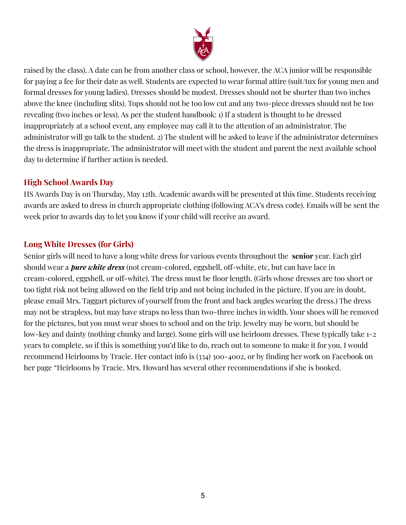

raised by the class). A date can be from another class or school, however, the ACA junior will be responsible for paying a fee for their date as well. Students are expected to wear formal attire (suit/tux for young men and formal dresses for young ladies). Dresses should be modest. Dresses should not be shorter than two inches above the knee (including slits). Tops should not be too low cut and any two-piece dresses should not be too revealing (two inches or less). As per the student handbook: 1) If a student is thought to be dressed inappropriately at a school event, any employee may call it to the attention of an administrator. The administrator will go talk to the student. 2) The student will be asked to leave if the administrator determines the dress is inappropriate. The administrator will meet with the student and parent the next available school day to determine if further action is needed.

#### **High School Awards Day**

HS Awards Day is on Thursday, May 12th. Academic awards will be presented at this time. Students receiving awards are asked to dress in church appropriate clothing (following ACA's dress code). Emails will be sent the week prior to awards day to let you know if your child will receive an award.

### **Long White Dresses (for Girls)**

Senior girls will need to have a long white dress for various events throughout the **senior** year. Each girl should wear a *pure white dress* (not cream-colored, eggshell, off-white, etc, but can have lace in cream-colored, eggshell, or off-white). The dress must be floor length. (Girls whose dresses are too short or too tight risk not being allowed on the field trip and not being included in the picture. If you are in doubt, please email Mrs. Taggart pictures of yourself from the front and back angles wearing the dress.) The dress may not be strapless, but may have straps no less than two-three inches in width. Your shoes will be removed for the pictures, but you must wear shoes to school and on the trip. Jewelry may be worn, but should be low-key and dainty (nothing chunky and large). Some girls will use heirloom dresses. These typically take 1-2 years to complete, so if this is something you'd like to do, reach out to someone to make it for you. I would recommend Heirlooms by Tracie. Her contact info is (334) 300-4002, or by finding her work on Facebook on her page "Heirlooms by Tracie. Mrs. Howard has several other recommendations if she is booked.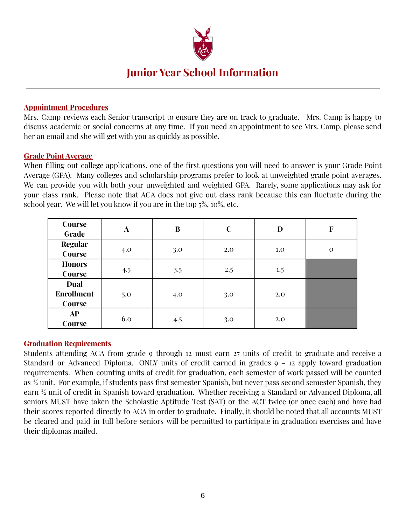

### **Junior Year School Information**

#### **Appointment Procedures**

Mrs. Camp reviews each Senior transcript to ensure they are on track to graduate. Mrs. Camp is happy to discuss academic or social concerns at any time. If you need an appointment to see Mrs. Camp, please send her an email and she will get with you as quickly as possible.

#### **Grade Point Average**

When filling out college applications, one of the first questions you will need to answer is your Grade Point Average (GPA). Many colleges and scholarship programs prefer to look at unweighted grade point averages. We can provide you with both your unweighted and weighted GPA. Rarely, some applications may ask for your class rank. Please note that ACA does not give out class rank because this can fluctuate during the school year. We will let you know if you are in the top 5%, 10%, etc.

| Course<br>Grade                     | A   | $\bf{B}$ | $\mathbf C$ | D   | $\mathbf F$ |
|-------------------------------------|-----|----------|-------------|-----|-------------|
| <b>Regular</b><br>Course            | 4.0 | 3.0      | 2.0         | 1.0 | $\theta$    |
| <b>Honors</b><br>Course             | 4.5 | 3.5      | 2.5         | 1.5 |             |
| Dual<br><b>Enrollment</b><br>Course | 5.0 | 4.0      | 3.0         | 2.0 |             |
| AP<br>Course                        | 6.0 | 4.5      | 3.0         | 2.0 |             |

#### **Graduation Requirements**

Students attending ACA from grade 9 through 12 must earn 27 units of credit to graduate and receive a Standard or Advanced Diploma. ONLY units of credit earned in grades 9 – 12 apply toward graduation requirements. When counting units of credit for graduation, each semester of work passed will be counted as ½ unit. For example, if students pass first semester Spanish, but never pass second semester Spanish, they earn ½ unit of credit in Spanish toward graduation. Whether receiving a Standard or Advanced Diploma, all seniors MUST have taken the Scholastic Aptitude Test (SAT) or the ACT twice (or once each) and have had their scores reported directly to ACA in order to graduate. Finally, it should be noted that all accounts MUST be cleared and paid in full before seniors will be permitted to participate in graduation exercises and have their diplomas mailed.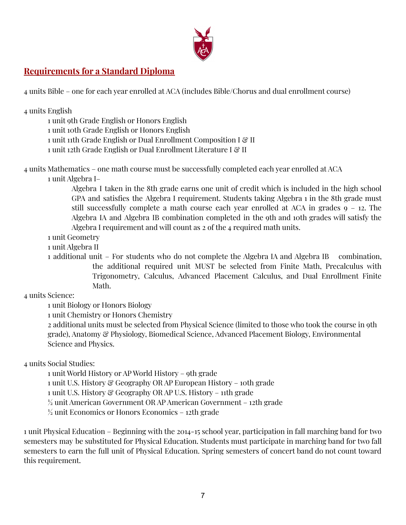

### **Requirements for a Standard Diploma**

4 units Bible – one for each year enrolled at ACA (includes Bible/Chorus and dual enrollment course)

| 4 units English<br>1 unit 9th Grade English or Honors English<br>1 unit 10th Grade English or Honors English<br>1 unit 11th Grade English or Dual Enrollment Composition I & II<br>1 unit 12th Grade English or Dual Enrollment Literature I & II                                                                                                                                                                                                                                                                                                                                               |
|-------------------------------------------------------------------------------------------------------------------------------------------------------------------------------------------------------------------------------------------------------------------------------------------------------------------------------------------------------------------------------------------------------------------------------------------------------------------------------------------------------------------------------------------------------------------------------------------------|
| 4 units Mathematics – one math course must be successfully completed each year enrolled at ACA<br>1 unit Algebra I-<br>Algebra I taken in the 8th grade earns one unit of credit which is included in the high school<br>GPA and satisfies the Algebra I requirement. Students taking Algebra 1 in the 8th grade must<br>still successfully complete a math course each year enrolled at ACA in grades $9 - 12$ . The<br>Algebra IA and Algebra IB combination completed in the 9th and 10th grades will satisfy the<br>Algebra I requirement and will count as 2 of the 4 required math units. |
| 1 unit Geometry                                                                                                                                                                                                                                                                                                                                                                                                                                                                                                                                                                                 |
| 1 unit Algebra II                                                                                                                                                                                                                                                                                                                                                                                                                                                                                                                                                                               |
| 1 additional unit – For students who do not complete the Algebra IA and Algebra IB<br>combination.<br>1 · 1 · arrom 1 · 10 · 11 · 10 · 11 · 11                                                                                                                                                                                                                                                                                                                                                                                                                                                  |

the additional required unit MUST be selected from Finite Math, Precalculus with Trigonometry, Calculus, Advanced Placement Calculus, and Dual Enrollment Finite Math.

4 units Science:

1 unit Biology or Honors Biology

1 unit Chemistry or Honors Chemistry

2 additional units must be selected from Physical Science (limited to those who took the course in 9th grade), Anatomy & Physiology, Biomedical Science, Advanced Placement Biology, Environmental Science and Physics.

4 units Social Studies:

1 unit World History or AP World History – 9th grade

1 unit U.S. History & Geography OR AP European History – 10th grade

1 unit U.S. History & Geography OR AP U.S. History – 11th grade

½ unit American Government OR AP American Government – 12th grade

 $\frac{1}{2}$  unit Economics or Honors Economics – 12th grade

1 unit Physical Education – Beginning with the 2014-15 school year, participation in fall marching band for two semesters may be substituted for Physical Education. Students must participate in marching band for two fall semesters to earn the full unit of Physical Education. Spring semesters of concert band do not count toward this requirement.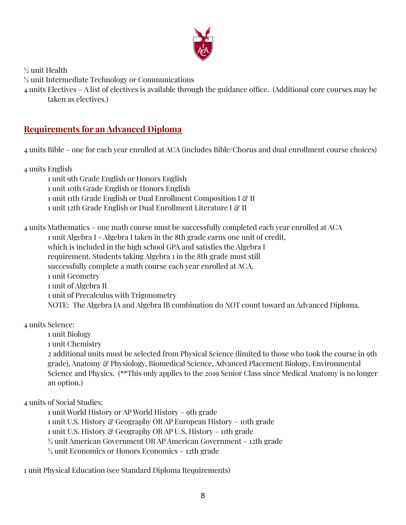

 $\frac{1}{2}$  unit Health

unit Intermediate Technology or Communications

 units Electives – A list of electives is available through the guidance office. (Additional core courses may be taken as electives.)

### **Requirements for an Advanced Diploma**

units Bible – one for each year enrolled at ACA (includes Bible/Chorus and dual enrollment course choices)

units English

 unit 9th Grade English or Honors English unit 10th Grade English or Honors English 1 unit 11th Grade English or Dual Enrollment Composition I & II 1 unit 12th Grade English or Dual Enrollment Literature I & II

 units Mathematics – one math course must be successfully completed each year enrolled at ACA unit Algebra I - Algebra I taken in the 8th grade earns one unit of credit, which is included in the high school GPA and satisfies the Algebra I requirement. Students taking Algebra 1 in the 8th grade must still successfully complete a math course each year enrolled at ACA. unit Geometry unit of Algebra II unit of Precalculus with Trigonometry NOTE: The Algebra IA and Algebra IB combination do NOT count toward an Advanced Diploma.

units Science:

unit Biology

unit Chemistry

 additional units must be selected from Physical Science (limited to those who took the course in 9th grade), Anatomy & Physiology, Biomedical Science, Advanced Placement Biology, Environmental Science and Physics. (\*\*This only applies to the 2019 Senior Class since Medical Anatomy is no longer an option.)

units of Social Studies:

 unit World History or AP World History – 9th grade unit U.S. History & Geography OR AP European History – 10th grade unit U.S. History & Geography OR AP U.S. History – 11th grade unit American Government OR AP American Government – 12th grade  $\frac{1}{2}$  unit Economics or Honors Economics – 12th grade

unit Physical Education (see Standard Diploma Requirements)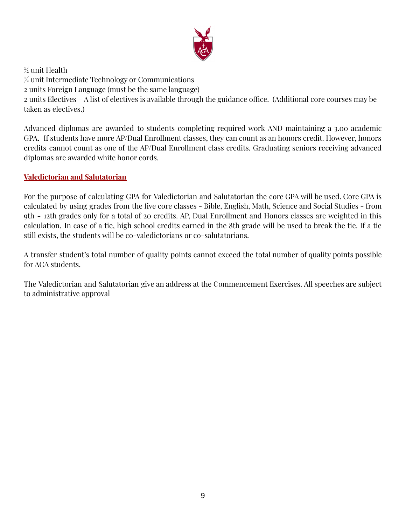

 $\frac{1}{2}$  unit Health ½ unit Intermediate Technology or Communications 2 units Foreign Language (must be the same language) 2 units Electives – A list of electives is available through the guidance office. (Additional core courses may be taken as electives.)

Advanced diplomas are awarded to students completing required work AND maintaining a 3.00 academic GPA. If students have more AP/Dual Enrollment classes, they can count as an honors credit. However, honors credits cannot count as one of the AP/Dual Enrollment class credits. Graduating seniors receiving advanced diplomas are awarded white honor cords.

#### **Valedictorian and Salutatorian**

For the purpose of calculating GPA for Valedictorian and Salutatorian the core GPA will be used. Core GPA is calculated by using grades from the five core classes - Bible, English, Math, Science and Social Studies - from 9th - 12th grades only for a total of 20 credits. AP, Dual Enrollment and Honors classes are weighted in this calculation. In case of a tie, high school credits earned in the 8th grade will be used to break the tie. If a tie still exists, the students will be co-valedictorians or co-salutatorians.

A transfer student's total number of quality points cannot exceed the total number of quality points possible for ACA students.

The Valedictorian and Salutatorian give an address at the Commencement Exercises. All speeches are subject to administrative approval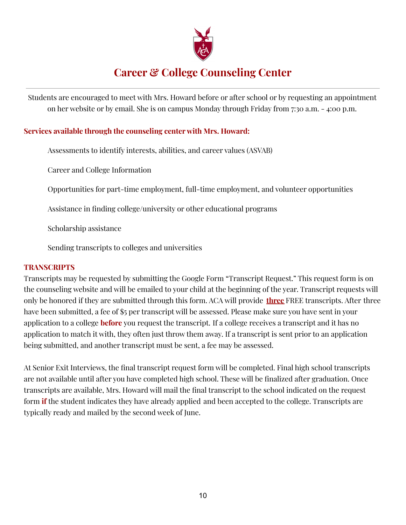

# **Career & College Counseling Center**

Students are encouraged to meet with Mrs. Howard before or after school or by requesting an appointment on her website or by email. She is on campus Monday through Friday from 7:30 a.m. - 4:00 p.m.

#### **Services available through the counseling center with Mrs. Howard:**

Assessments to identify interests, abilities, and career values (ASVAB)

Career and College Information

Opportunities for part-time employment, full-time employment, and volunteer opportunities

Assistance in finding college/university or other educational programs

Scholarship assistance

Sending transcripts to colleges and universities

#### **TRANSCRIPTS**

Transcripts may be requested by submitting the Google Form "Transcript Request." This request form is on the counseling website and will be emailed to your child at the beginning of the year. Transcript requests will only be honored if they are submitted through this form. ACA will provide **three** FREE transcripts. After three have been submitted, a fee of \$5 per transcript will be assessed. Please make sure you have sent in your application to a college **before** you request the transcript. If a college receives a transcript and it has no application to match it with, they often just throw them away. If a transcript is sent prior to an application being submitted, and another transcript must be sent, a fee may be assessed.

At Senior Exit Interviews, the final transcript request form will be completed. Final high school transcripts are not available until after you have completed high school. These will be finalized after graduation. Once transcripts are available, Mrs. Howard will mail the final transcript to the school indicated on the request form **if** the student indicates they have already applied and been accepted to the college. Transcripts are typically ready and mailed by the second week of June.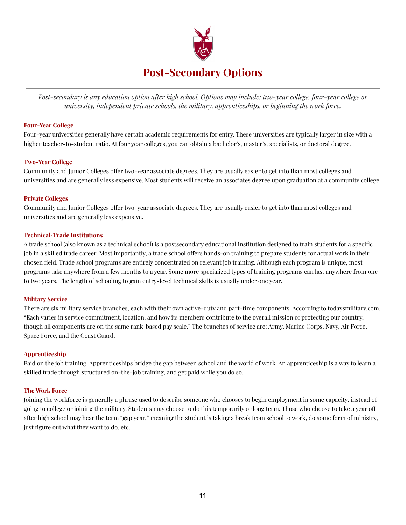

Post-secondary is any education option after high school. Options may include: two-year college, four-year college or *university, independent private schools, the military, apprenticeships, or beginning the work force.*

#### **Four-Year College**

Four-year universities generally have certain academic requirements for entry. These universities are typically larger in size with a higher teacher-to-student ratio. At four year colleges, you can obtain a bachelor's, master's, specialists, or doctoral degree.

#### **Two-Year College**

Community and Junior Colleges offer two-year associate degrees. They are usually easier to get into than most colleges and universities and are generally less expensive. Most students will receive an associates degree upon graduation at a community college.

#### **Private Colleges**

Community and Junior Colleges offer two-year associate degrees. They are usually easier to get into than most colleges and universities and are generally less expensive.

#### **Technical/Trade Institutions**

A trade school (also known as a technical school) is a postsecondary educational institution designed to train students for a specific job in a skilled trade career. Most importantly, a trade school offers hands-on training to prepare students for actual work in their chosen field. Trade school programs are entirely concentrated on relevant job training. Although each program is unique, most programs take anywhere from a few months to a year. Some more specialized types of training programs can last anywhere from one to two years. The length of schooling to gain entry-level technical skills is usually under one year.

#### **Military Service**

There are six military service branches, each with their own active-duty and part-time components. According to todaysmilitary.com, "Each varies in service commitment, location, and how its members contribute to the overall mission of protecting our country, though all components are on the same rank-based pay scale." The branches of service are: Army, Marine Corps, Navy, Air Force, Space Force, and the Coast Guard.

#### **Apprenticeship**

Paid on the job training. Apprenticeships bridge the gap between school and the world of work. An apprenticeship is a way to learn a skilled trade through structured on-the-job training, and get paid while you do so.

#### **The Work Force**

Joining the workforce is generally a phrase used to describe someone who chooses to begin employment in some capacity, instead of going to college or joining the military. Students may choose to do this temporarily or long term. Those who choose to take a year off after high school may hear the term "gap year," meaning the student is taking a break from school to work, do some form of ministry, just figure out what they want to do, etc.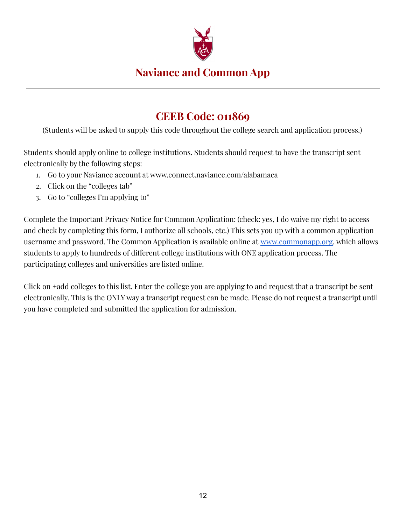

### **Naviance and Common App**

# **CEEB Code: 011869**

(Students will be asked to supply this code throughout the college search and application process.)

Students should apply online to college institutions. Students should request to have the transcript sent electronically by the following steps:

- 1. Go to your Naviance account at www.connect.naviance.com/alabamaca
- 2. Click on the "colleges tab"
- 3. Go to "colleges I'm applying to"

Complete the Important Privacy Notice for Common Application: (check: yes, I do waive my right to access and check by completing this form, I authorize all schools, etc.) This sets you up with a common application username and password. The Common Application is available online at [www.commonapp.org](http://www.commonapp.org), which allows students to apply to hundreds of different college institutions with ONE application process. The participating colleges and universities are listed online.

Click on +add colleges to this list. Enter the college you are applying to and request that a transcript be sent electronically. This is the ONLY way a transcript request can be made. Please do not request a transcript until you have completed and submitted the application for admission.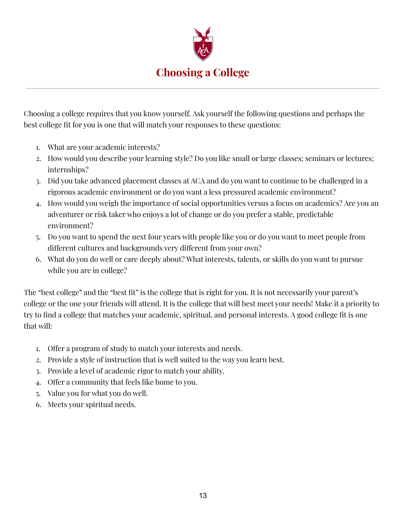

Choosing a college requires that you know yourself. Ask yourself the following questions and perhaps the best college fit for you is one that will match your responses to these questions:

- 1. What are your academic interests?
- 2. How would you describe your learning style? Do you like small or large classes; seminars or lectures; internships?
- 3. Did you take advanced placement classes at ACA and do you want to continue to be challenged in a rigorous academic environment or do you want a less pressured academic environment?
- 4. How would you weigh the importance of social opportunities versus a focus on academics? Are you an adventurer or risk taker who enjoys a lot of change or do you prefer a stable, predictable environment?
- 5. Do you want to spend the next four years with people like you or do you want to meet people from different cultures and backgrounds very different from your own?
- 6. What do you do well or care deeply about? What interests, talents, or skills do you want to pursue while you are in college?

The "best college" and the "best fit" is the college that is right for you. It is not necessarily your parent's college or the one your friends will attend. It is the college that will best meet your needs! Make it a priority to try to find a college that matches your academic, spiritual, and personal interests. A good college fit is one that will:

- 1. Offer a program of study to match your interests and needs.
- 2. Provide a style of instruction that is well suited to the way you learn best.
- 3. Provide a level of academic rigor to match your ability.
- 4. Offer a community that feels like home to you.
- 5. Value you for what you do well.
- 6. Meets your spiritual needs.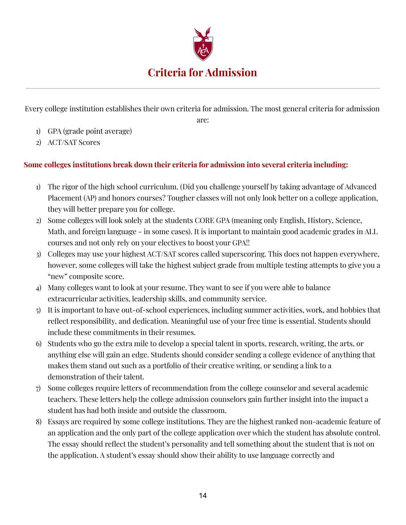

Every college institution establishes their own criteria for admission. The most general criteria for admission

are:

- 1) GPA (grade point average)
- 2) ACT/SAT Scores

#### **Some colleges institutions break down their criteria for admission into several criteria including:**

- 1) The rigor of the high school curriculum. (Did you challenge yourself by taking advantage of Advanced Placement (AP) and honors courses? Tougher classes will not only look better on a college application, they will better prepare you for college.
- 2) Some colleges will look solely at the students CORE GPA (meaning only English, History, Science, Math, and foreign language - in some cases). It is important to maintain good academic grades in ALL courses and not only rely on your electives to boost your GPA!!
- 3) Colleges may use your highest ACT/SAT scores called superscoring. This does not happen everywhere, however, some colleges will take the highest subject grade from multiple testing attempts to give you a "new" composite score.
- 4) Many colleges want to look at your resume. They want to see if you were able to balance extracurricular activities, leadership skills, and community service.
- 5) It is important to have out-of-school experiences, including summer activities, work, and hobbies that reflect responsibility, and dedication. Meaningful use of your free time is essential. Students should include these commitments in their resumes.
- 6) Students who go the extra mile to develop a special talent in sports, research, writing, the arts, or anything else will gain an edge. Students should consider sending a college evidence of anything that makes them stand out such as a portfolio of their creative writing, or sending a link to a demonstration of their talent.
- 7) Some colleges require letters of recommendation from the college counselor and several academic teachers. These letters help the college admission counselors gain further insight into the impact a student has had both inside and outside the classroom.
- 8) Essays are required by some college institutions. They are the highest ranked non-academic feature of an application and the only part of the college application over which the student has absolute control. The essay should reflect the student's personality and tell something about the student that is not on the application. A student's essay should show their ability to use language correctly and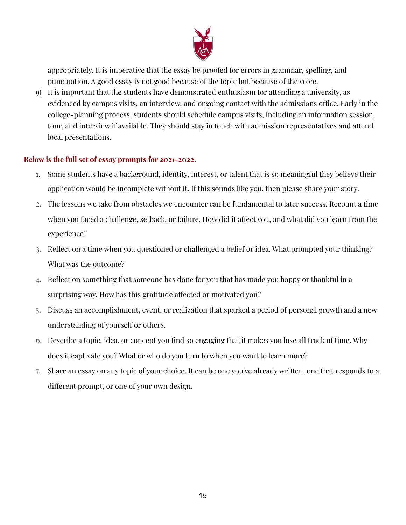

appropriately. It is imperative that the essay be proofed for errors in grammar, spelling, and punctuation. A good essay is not good because of the topic but because of the voice.

9) It is important that the students have demonstrated enthusiasm for attending a university, as evidenced by campus visits, an interview, and ongoing contact with the admissions office. Early in the college-planning process, students should schedule campus visits, including an information session, tour, and interview if available. They should stay in touch with admission representatives and attend local presentations.

#### **Below is the full set of essay prompts for 2021-2022.**

- 1. Some students have a background, identity, interest, or talent that is so meaningful they believe their application would be incomplete without it. If this sounds like you, then please share your story.
- 2. The lessons we take from obstacles we encounter can be fundamental to later success. Recount a time when you faced a challenge, setback, or failure. How did it affect you, and what did you learn from the experience?
- 3. Reflect on a time when you questioned or challenged a belief or idea. What prompted your thinking? What was the outcome?
- 4. Reflect on something that someone has done for you that has made you happy or thankful in a surprising way. How has this gratitude affected or motivated you?
- 5. Discuss an accomplishment, event, or realization that sparked a period of personal growth and a new understanding of yourself or others.
- 6. Describe a topic, idea, or concept you find so engaging that it makes you lose all track of time. Why does it captivate you? What or who do you turn to when you want to learn more?
- 7. Share an essay on any topic of your choice. It can be one you've already written, one that responds to a different prompt, or one of your own design.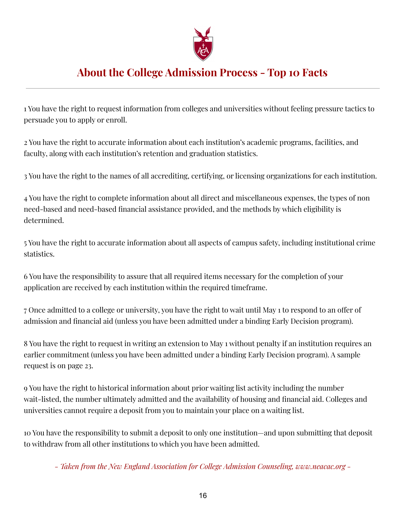

# **About the College Admission Process - Top 10 Facts**

1 You have the right to request information from colleges and universities without feeling pressure tactics to persuade you to apply or enroll.

2 You have the right to accurate information about each institution's academic programs, facilities, and faculty, along with each institution's retention and graduation statistics.

3 You have the right to the names of all accrediting, certifying, or licensing organizations for each institution.

4 You have the right to complete information about all direct and miscellaneous expenses, the types of non need-based and need-based financial assistance provided, and the methods by which eligibility is determined.

5 You have the right to accurate information about all aspects of campus safety, including institutional crime statistics.

6 You have the responsibility to assure that all required items necessary for the completion of your application are received by each institution within the required timeframe.

7 Once admitted to a college or university, you have the right to wait until May 1 to respond to an offer of admission and financial aid (unless you have been admitted under a binding Early Decision program).

8 You have the right to request in writing an extension to May 1 without penalty if an institution requires an earlier commitment (unless you have been admitted under a binding Early Decision program). A sample request is on page 23.

9 You have the right to historical information about prior waiting list activity including the number wait-listed, the number ultimately admitted and the availability of housing and financial aid. Colleges and universities cannot require a deposit from you to maintain your place on a waiting list.

10 You have the responsibility to submit a deposit to only one institution—and upon submitting that deposit to withdraw from all other institutions to which you have been admitted.

*- Taken from the New England Association for College Admission Counseling, www.neacac.org -*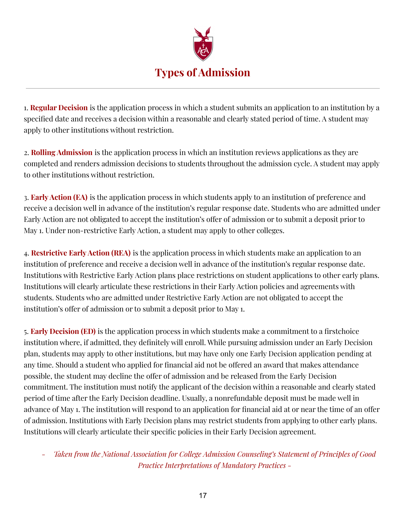

1. **Regular Decision** is the application process in which a student submits an application to an institution by a specified date and receives a decision within a reasonable and clearly stated period of time. A student may apply to other institutions without restriction.

2. **Rolling Admission** is the application process in which an institution reviews applications as they are completed and renders admission decisions to students throughout the admission cycle. A student may apply to other institutions without restriction.

3. **EarlyAction (EA)** is the application process in which students apply to an institution of preference and receive a decision well in advance of the institution's regular response date. Students who are admitted under Early Action are not obligated to accept the institution's offer of admission or to submit a deposit prior to May 1. Under non-restrictive Early Action, a student may apply to other colleges.

4. **Restrictive EarlyAction (REA)** is the application process in which students make an application to an institution of preference and receive a decision well in advance of the institution's regular response date. Institutions with Restrictive Early Action plans place restrictions on student applications to other early plans. Institutions will clearly articulate these restrictions in their Early Action policies and agreements with students. Students who are admitted under Restrictive Early Action are not obligated to accept the institution's offer of admission or to submit a deposit prior to May 1.

5. **Early Decision (ED)** is the application process in which students make a commitment to a firstchoice institution where, if admitted, they definitely will enroll. While pursuing admission under an Early Decision plan, students may apply to other institutions, but may have only one Early Decision application pending at any time. Should a student who applied for financial aid not be offered an award that makes attendance possible, the student may decline the offer of admission and be released from the Early Decision commitment. The institution must notify the applicant of the decision within a reasonable and clearly stated period of time after the Early Decision deadline. Usually, a nonrefundable deposit must be made well in advance of May 1. The institution will respond to an application for financial aid at or near the time of an offer of admission. Institutions with Early Decision plans may restrict students from applying to other early plans. Institutions will clearly articulate their specific policies in their Early Decision agreement.

*- Taken from the National Association for College Admission Counseling's Statement of Principles of Good Practice Interpretations of Mandatory Practices -*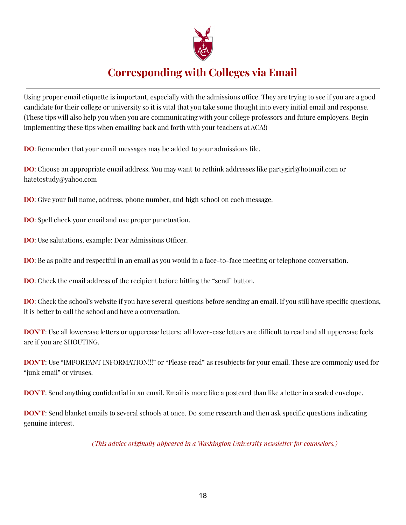

# **Corresponding with Colleges via Email**

Using proper email etiquette is important, especially with the admissions office. They are trying to see if you are a good candidate for their college or university so it is vital that you take some thought into every initial email and response. (These tips will also help you when you are communicating with your college professors and future employers. Begin implementing these tips when emailing back and forth with your teachers at ACA!)

**DO**: Remember that your email messages may be added to your admissions file.

**DO**: Choose an appropriate email address. You may want to rethink addresses like partygirl@hotmail.com or hatetostudy@yahoo.com

**DO**: Give your full name, address, phone number, and high school on each message.

**DO**: Spell check your email and use proper punctuation.

**DO**: Use salutations, example: Dear Admissions Officer.

**DO**: Be as polite and respectful in an email as you would in a face-to-face meeting or telephone conversation.

**DO**: Check the email address of the recipient before hitting the "send" button.

**DO**: Check the school's website if you have several questions before sending an email. If you still have specific questions, it is better to call the school and have a conversation.

**DON'T**: Use all lowercase letters or uppercase letters; all lower-case letters are difficult to read and all uppercase feels are if you are SHOUTING.

**DON'T**: Use "IMPORTANT INFORMATION!!!" or "Please read" as resubjects for your email. These are commonly used for "junk email" or viruses.

**DON'T**: Send anything confidential in an email. Email is more like a postcard than like a letter in a sealed envelope.

**DON'T**: Send blanket emails to several schools at once. Do some research and then ask specific questions indicating genuine interest.

*(This advice originally appeared in a Washington University newsletter for counselors.)*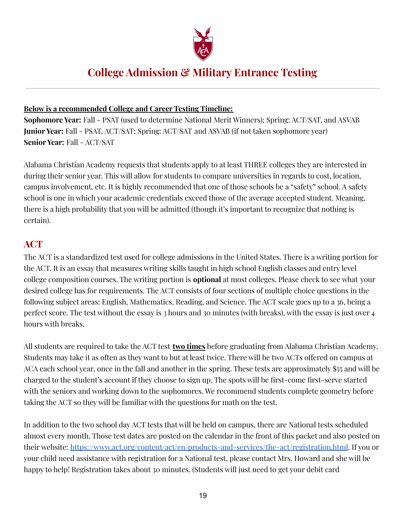

# **College Admission & Military Entrance Testing**

#### **Below is a recommended College and Career Testing Timeline:**

**Sophomore Year:** Fall - PSAT (used to determine National Merit Winners); Spring: ACT/SAT, and ASVAB **Junior Year:** Fall - PSAT, ACT/SAT; Spring: ACT/SAT and ASVAB (if not taken sophomore year) **Senior Year:** Fall - ACT/SAT

Alabama Christian Academy requests that students apply to at least THREE colleges they are interested in during their senior year. This will allow for students to compare universities in regards to cost, location, campus involvement, etc. It is highly recommended that one of those schools be a "safety" school. A safety school is one in which your academic credentials exceed those of the average accepted student. Meaning, there is a high probability that you will be admitted (though it's important to recognize that nothing is certain).

### **ACT**

The ACT is a standardized test used for college admissions in the United States. There is a writing portion for the ACT. It is an essay that measures writing skills taught in high school English classes and entry level college composition courses. The writing portion is **optional** at most colleges. Please check to see what your desired college has for requirements. The ACT consists of four sections of multiple choice questions in the following subject areas: English, Mathematics, Reading, and Science. The ACT scale goes up to a 36, being a perfect score. The test without the essay is 3 hours and 30 minutes (with breaks), with the essay is just over 4 hours with breaks.

All students are required to take the ACT test **two times** before graduating from Alabama Christian Academy. Students may take it as often as they want to but at least twice. There will be two ACTs offered on campus at ACA each school year, once in the fall and another in the spring. These tests are approximately \$55 and will be charged to the student's account if they choose to sign up. The spots will be first-come first-serve started with the seniors and working down to the sophomores. We recommend students complete geometry before taking the ACT so they will be familiar with the questions for math on the test.

In addition to the two school day ACT tests that will be held on campus, there are National tests scheduled almost every month. Those test dates are posted on the calendar in the front of this packet and also posted on their website: <https://www.act.org/content/act/en/products-and-services/the-act/registration.html>. If you or your child need assistance with registration for a National test, please contact Mrs. Howard and she will be happy to help! Registration takes about 30 minutes. (Students will just need to get your debit card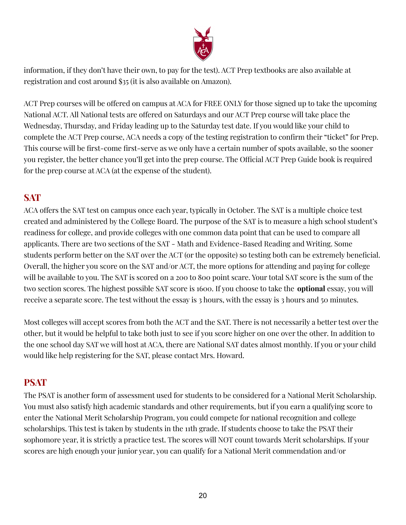

information, if they don't have their own, to pay for the test). ACT Prep textbooks are also available at registration and cost around \$35 (it is also available on Amazon).

ACT Prep courses will be offered on campus at ACA for FREE ONLY for those signed up to take the upcoming National ACT. All National tests are offered on Saturdays and our ACT Prep course will take place the Wednesday, Thursday, and Friday leading up to the Saturday test date. If you would like your child to complete the ACT Prep course, ACA needs a copy of the testing registration to confirm their "ticket" for Prep. This course will be first-come first-serve as we only have a certain number of spots available, so the sooner you register, the better chance you'll get into the prep course. The Official ACT Prep Guide book is required for the prep course at ACA (at the expense of the student).

### **SAT**

ACA offers the SAT test on campus once each year, typically in October. The SAT is a multiple choice test created and administered by the College Board. The purpose of the SAT is to measure a high school student's readiness for college, and provide colleges with one common data point that can be used to compare all applicants. There are two sections of the SAT - Math and Evidence-Based Reading and Writing. Some students perform better on the SAT over the ACT (or the opposite) so testing both can be extremely beneficial. Overall, the higher you score on the SAT and/or ACT, the more options for attending and paying for college will be available to you. The SAT is scored on a 200 to 800 point scare. Your total SAT score is the sum of the two section scores. The highest possible SAT score is 1600. If you choose to take the **optional** essay, you will receive a separate score. The test without the essay is 3 hours, with the essay is 3 hours and 50 minutes.

Most colleges will accept scores from both the ACT and the SAT. There is not necessarily a better test over the other, but it would be helpful to take both just to see if you score higher on one over the other. In addition to the one school day SAT we will host at ACA, there are National SAT dates almost monthly. If you or your child would like help registering for the SAT, please contact Mrs. Howard.

### **PSAT**

The PSAT is another form of assessment used for students to be considered for a National Merit Scholarship. You must also satisfy high academic standards and other requirements, but if you earn a qualifying score to enter the National Merit Scholarship Program, you could compete for national recognition and college scholarships. This test is taken by students in the 11th grade. If students choose to take the PSAT their sophomore year, it is strictly a practice test. The scores will NOT count towards Merit scholarships. If your scores are high enough your junior year, you can qualify for a National Merit commendation and/or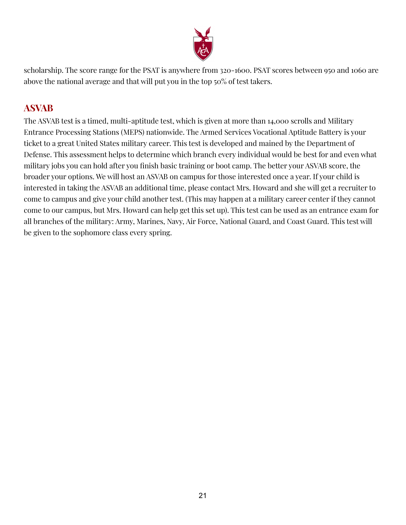

scholarship. The score range for the PSAT is anywhere from 320-1600. PSAT scores between 950 and 1060 are above the national average and that will put you in the top 50% of test takers.

### **ASVAB**

The ASVAB test is a timed, multi-aptitude test, which is given at more than 14,000 scrolls and Military Entrance Processing Stations (MEPS) nationwide. The Armed Services Vocational Aptitude Battery is your ticket to a great United States military career. This test is developed and mained by the Department of Defense. This assessment helps to determine which branch every individual would be best for and even what military jobs you can hold after you finish basic training or boot camp. The better your ASVAB score, the broader your options. We will host an ASVAB on campus for those interested once a year. If your child is interested in taking the ASVAB an additional time, please contact Mrs. Howard and she will get a recruiter to come to campus and give your child another test. (This may happen at a military career center if they cannot come to our campus, but Mrs. Howard can help get this set up). This test can be used as an entrance exam for all branches of the military: Army, Marines, Navy, Air Force, National Guard, and Coast Guard. This test will be given to the sophomore class every spring.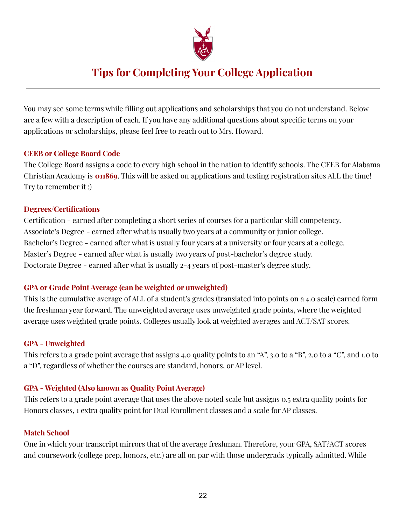

# **Tips for Completing Your College Application**

You may see some terms while filling out applications and scholarships that you do not understand. Below are a few with a description of each. If you have any additional questions about specific terms on your applications or scholarships, please feel free to reach out to Mrs. Howard.

#### **CEEB or College Board Code**

The College Board assigns a code to every high school in the nation to identify schools. The CEEB for Alabama Christian Academy is **011869**. This will be asked on applications and testing registration sites ALL the time! Try to remember it :)

#### **Degrees/Certifications**

Certification - earned after completing a short series of courses for a particular skill competency. Associate's Degree - earned after what is usually two years at a community or junior college. Bachelor's Degree - earned after what is usually four years at a university or four years at a college. Master's Degree - earned after what is usually two years of post-bachelor's degree study. Doctorate Degree - earned after what is usually 2-4 years of post-master's degree study.

#### **GPA or Grade Point Average (can be weighted or unweighted)**

This is the cumulative average of ALL of a student's grades (translated into points on a 4.0 scale) earned form the freshman year forward. The unweighted average uses unweighted grade points, where the weighted average uses weighted grade points. Colleges usually look at weighted averages and ACT/SAT scores.

#### **GPA - Unweighted**

This refers to a grade point average that assigns 4.0 quality points to an "A", 3.0 to a "B", 2.0 to a "C", and 1.0 to a "D", regardless of whether the courses are standard, honors, or AP level.

#### **GPA - Weighted (Also known as Quality Point Average)**

This refers to a grade point average that uses the above noted scale but assigns 0.5 extra quality points for Honors classes, 1 extra quality point for Dual Enrollment classes and a scale for AP classes.

#### **Match School**

One in which your transcript mirrors that of the average freshman. Therefore, your GPA, SAT?ACT scores and coursework (college prep, honors, etc.) are all on par with those undergrads typically admitted. While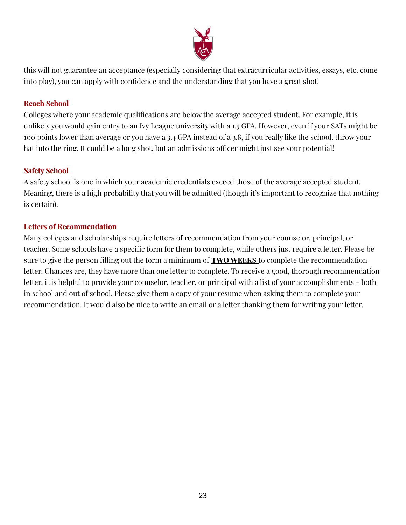

this will not guarantee an acceptance (especially considering that extracurricular activities, essays, etc. come into play), you can apply with confidence and the understanding that you have a great shot!

#### **Reach School**

Colleges where your academic qualifications are below the average accepted student. For example, it is unlikely you would gain entry to an Ivy League university with a 1.5 GPA. However, even if your SATs might be 100 points lower than average or you have a 3.4 GPA instead of a 3.8, if you really like the school, throw your hat into the ring. It could be a long shot, but an admissions officer might just see your potential!

#### **Safety School**

A safety school is one in which your academic credentials exceed those of the average accepted student. Meaning, there is a high probability that you will be admitted (though it's important to recognize that nothing is certain).

#### **Letters of Recommendation**

Many colleges and scholarships require letters of recommendation from your counselor, principal, or teacher. Some schools have a specific form for them to complete, while others just require a letter. Please be sure to give the person filling out the form a minimum of **TWO WEEKS** to complete the recommendation letter. Chances are, they have more than one letter to complete. To receive a good, thorough recommendation letter, it is helpful to provide your counselor, teacher, or principal with a list of your accomplishments - both in school and out of school. Please give them a copy of your resume when asking them to complete your recommendation. It would also be nice to write an email or a letter thanking them for writing your letter.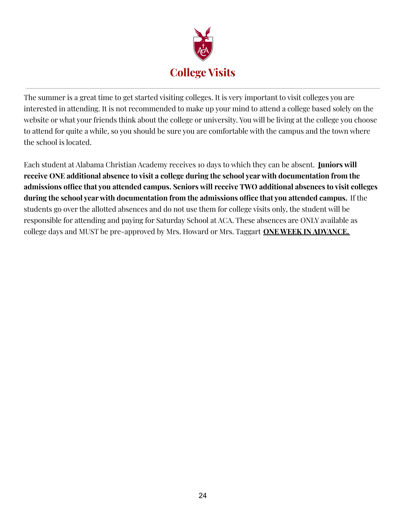

The summer is a great time to get started visiting colleges. It is very important to visit colleges you are interested in attending. It is not recommended to make up your mind to attend a college based solely on the website or what your friends think about the college or university. You will be living at the college you choose to attend for quite a while, so you should be sure you are comfortable with the campus and the town where the school is located.

Each student at Alabama Christian Academy receives 10 days to which they can be absent. **Juniors will receive ONE additional absence to visit a college during the school year with documentation from the admissions office that you attended campus. Seniors will receive TWO additional absences to visit colleges during the school year with documentation from the admissions office that you attended campus.** If the students go over the allotted absences and do not use them for college visits only, the student will be responsible for attending and paying for Saturday School at ACA. These absences are ONLY available as college days and MUST be pre-approved by Mrs. Howard or Mrs. Taggart **ONE WEEK IN ADVANCE.**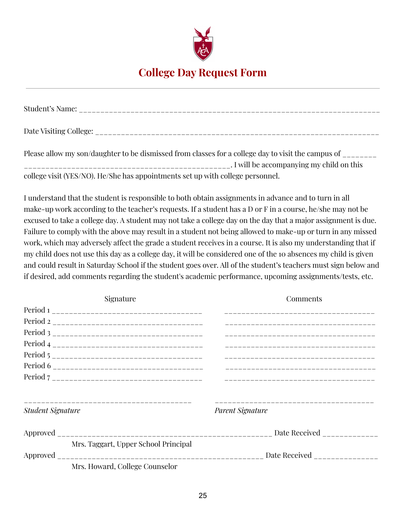

### **College Day Request Form**

| Student's Name:                                                                                   |
|---------------------------------------------------------------------------------------------------|
| Date Visiting College:                                                                            |
| Desse allow my son/daughter to be dismissed from classes for a college day to visit the campus of |

Please allow my son/daughter to be dismissed from classes for a college day to visit the campus of \_\_\_\_\_\_\_\_ \_\_\_\_\_\_\_\_\_\_\_\_\_\_\_\_\_\_\_\_\_\_\_\_\_\_\_\_\_\_\_\_\_\_\_\_\_\_\_\_\_\_\_\_\_\_\_\_. I will be accompanying my child on this college visit (YES/NO). He/She has appointments set up with college personnel.

I understand that the student is responsible to both obtain assignments in advance and to turn in all make-up work according to the teacher's requests. If a student has a D or F in a course, he/she may not be excused to take a college day. A student may not take a college day on the day that a major assignment is due. Failure to comply with the above may result in a student not being allowed to make-up or turn in any missed work, which may adversely affect the grade a student receives in a course. It is also my understanding that if my child does not use this day as a college day, it will be considered one of the 10 absences my child is given and could result in Saturday School if the student goes over. All of the student's teachers must sign below and if desired, add comments regarding the student's academic performance, upcoming assignments/tests, etc.

| Signature                            | Comments         |
|--------------------------------------|------------------|
|                                      |                  |
|                                      |                  |
|                                      |                  |
|                                      |                  |
|                                      |                  |
|                                      |                  |
|                                      |                  |
| <b>Student Signature</b>             | Parent Signature |
|                                      |                  |
| Mrs. Taggart, Upper School Principal |                  |
|                                      |                  |
| Mrs. Howard, College Counselor       |                  |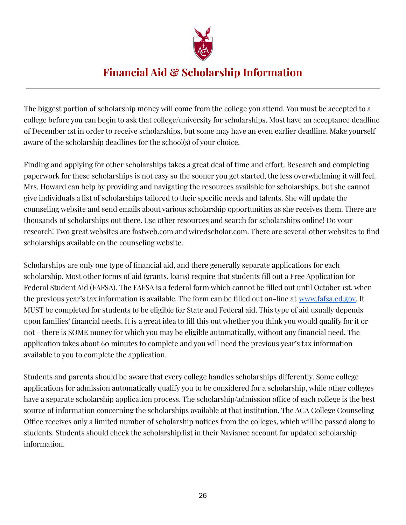

# **Financial Aid & Scholarship Information**

The biggest portion of scholarship money will come from the college you attend. You must be accepted to a college before you can begin to ask that college/university for scholarships. Most have an acceptance deadline of December 1st in order to receive scholarships, but some may have an even earlier deadline. Make yourself aware of the scholarship deadlines for the school(s) of your choice.

Finding and applying for other scholarships takes a great deal of time and effort. Research and completing paperwork for these scholarships is not easy so the sooner you get started, the less overwhelming it will feel. Mrs. Howard can help by providing and navigating the resources available for scholarships, but she cannot give individuals a list of scholarships tailored to their specific needs and talents. She will update the counseling website and send emails about various scholarship opportunities as she receives them. There are thousands of scholarships out there. Use other resources and search for scholarships online! Do your research! Two great websites are fastweb.com and wiredscholar.com. There are several other websites to find scholarships available on the counseling website.

Scholarships are only one type of financial aid, and there generally separate applications for each scholarship. Most other forms of aid (grants, loans) require that students fill out a Free Application for Federal Student Aid (FAFSA). The FAFSA is a federal form which cannot be filled out until October 1st, when the previous year's tax information is available. The form can be filled out on-line at www.fafsa,ed.gov. It MUST be completed for students to be eligible for State and Federal aid. This type of aid usually depends upon families' financial needs. It is a great idea to fill this out whether you think you would qualify for it or not - there is SOME money for which you may be eligible automatically, without any financial need. The application takes about 60 minutes to complete and you will need the previous year's tax information available to you to complete the application.

Students and parents should be aware that every college handles scholarships differently. Some college applications for admission automatically qualify you to be considered for a scholarship, while other colleges have a separate scholarship application process. The scholarship/admission office of each college is the best source of information concerning the scholarships available at that institution. The ACA College Counseling Office receives only a limited number of scholarship notices from the colleges, which will be passed along to students. Students should check the scholarship list in their Naviance account for updated scholarship information.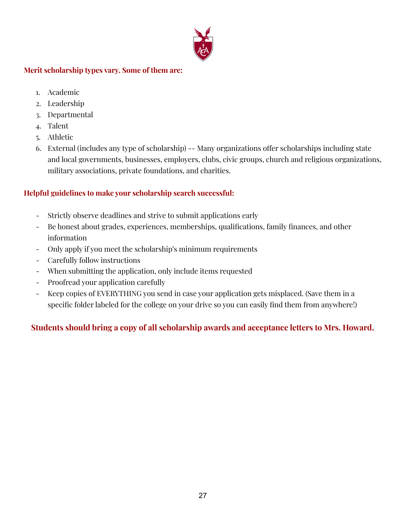

#### **Merit scholarship types vary. Some of them are:**

- 1. Academic
- 2. Leadership
- 3. Departmental
- 4. Talent
- 5. Athletic
- 6. External (includes any type of scholarship) -- Many organizations offer scholarships including state and local governments, businesses, employers, clubs, civic groups, church and religious organizations, military associations, private foundations, and charities.

#### **Helpful guidelines to make your scholarship search successful:**

- Strictly observe deadlines and strive to submit applications early
- Be honest about grades, experiences, memberships, qualifications, family finances, and other information
- Only apply if you meet the scholarship's minimum requirements
- Carefully follow instructions
- When submitting the application, only include items requested
- Proofread your application carefully
- Keep copies of EVERYTHING you send in case your application gets misplaced. (Save them in a specific folder labeled for the college on your drive so you can easily find them from anywhere!)

#### **Students should bring a copy of all scholarship awards and acceptance letters to Mrs. Howard.**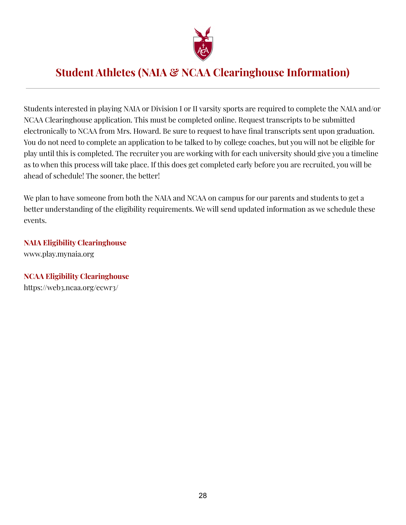

### **Student Athletes (NAIA & NCAA Clearinghouse Information)**

Students interested in playing NAIA or Division I or II varsity sports are required to complete the NAIA and/or NCAA Clearinghouse application. This must be completed online. Request transcripts to be submitted electronically to NCAA from Mrs. Howard. Be sure to request to have final transcripts sent upon graduation. You do not need to complete an application to be talked to by college coaches, but you will not be eligible for play until this is completed. The recruiter you are working with for each university should give you a timeline as to when this process will take place. If this does get completed early before you are recruited, you will be ahead of schedule! The sooner, the better!

We plan to have someone from both the NAIA and NCAA on campus for our parents and students to get a better understanding of the eligibility requirements. We will send updated information as we schedule these events.

**NAIA Eligibility Clearinghouse** www.play.mynaia.org

**NCAA Eligibility Clearinghouse** https://web3.ncaa.org/ecwr3/